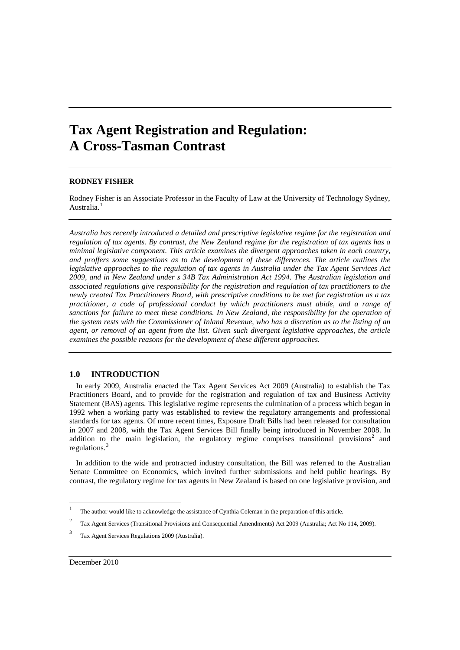# **Tax Agent Registration and Regulation: A Cross-Tasman Contrast**

# **RODNEY FISHER**

Rodney Fisher is an Associate Professor in the Faculty of Law at the University of Technology Sydney, Australia.<sup>[1](#page-0-0)</sup>

*Australia has recently introduced a detailed and prescriptive legislative regime for the registration and regulation of tax agents. By contrast, the New Zealand regime for the registration of tax agents has a minimal legislative component. This article examines the divergent approaches taken in each country, and proffers some suggestions as to the development of these differences. The article outlines the legislative approaches to the regulation of tax agents in Australia under the Tax Agent Services Act 2009, and in New Zealand under s 34B Tax Administration Act 1994*. *The Australian legislation and associated regulations give responsibility for the registration and regulation of tax practitioners to the newly created Tax Practitioners Board, with prescriptive conditions to be met for registration as a tax practitioner, a code of professional conduct by which practitioners must abide, and a range of sanctions for failure to meet these conditions. In New Zealand, the responsibility for the operation of the system rests with the Commissioner of Inland Revenue, who has a discretion as to the listing of an agent, or removal of an agent from the list. Given such divergent legislative approaches, the article examines the possible reasons for the development of these different approaches.*

## **1.0 INTRODUCTION**

In early 2009, Australia enacted the Tax Agent Services Act 2009 (Australia) to establish the Tax Practitioners Board, and to provide for the registration and regulation of tax and Business Activity Statement (BAS) agents. This legislative regime represents the culmination of a process which began in 1992 when a working party was established to review the regulatory arrangements and professional standards for tax agents. Of more recent times, Exposure Draft Bills had been released for consultation in 2007 and 2008, with the Tax Agent Services Bill finally being introduced in November 2008. In addition to the main legislation, the regulatory regime comprises transitional provisions<sup>[2](#page-0-1)</sup> and regulations.

In addition to the wide and protracted industry consultation, the Bill was referred to the Australian Senate Committee on Economics, which invited further submissions and held public hearings. By contrast, the regulatory regime for tax agents in New Zealand is based on one legislative provision, and

<sup>1</sup> The author would like to acknowledge the assistance of Cynthia Coleman in the preparation of this article.

<span id="page-0-1"></span><span id="page-0-0"></span><sup>&</sup>lt;sup>2</sup> Tax Agent Services (Transitional Provisions and Consequential Amendments) Act 2009 (Australia; Act No 114, 2009).

<span id="page-0-2"></span>Tax Agent Services Regulations 2009 (Australia).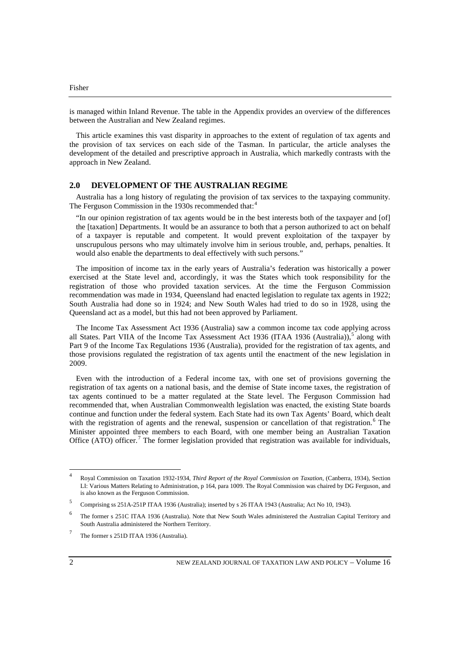is managed within Inland Revenue. The table in the Appendix provides an overview of the differences between the Australian and New Zealand regimes.

This article examines this vast disparity in approaches to the extent of regulation of tax agents and the provision of tax services on each side of the Tasman. In particular, the article analyses the development of the detailed and prescriptive approach in Australia, which markedly contrasts with the approach in New Zealand.

## **2.0 DEVELOPMENT OF THE AUSTRALIAN REGIME**

Australia has a long history of regulating the provision of tax services to the taxpaying community. The Ferguson Commission in the 1930s recommended that:<sup>[4](#page-1-0)</sup>

"In our opinion registration of tax agents would be in the best interests both of the taxpayer and [of] the [taxation] Departments. It would be an assurance to both that a person authorized to act on behalf of a taxpayer is reputable and competent. It would prevent exploitation of the taxpayer by unscrupulous persons who may ultimately involve him in serious trouble, and, perhaps, penalties. It would also enable the departments to deal effectively with such persons."

The imposition of income tax in the early years of Australia's federation was historically a power exercised at the State level and, accordingly, it was the States which took responsibility for the registration of those who provided taxation services. At the time the Ferguson Commission recommendation was made in 1934, Queensland had enacted legislation to regulate tax agents in 1922; South Australia had done so in 1924; and New South Wales had tried to do so in 1928, using the Queensland act as a model, but this had not been approved by Parliament.

The Income Tax Assessment Act 1936 (Australia) saw a common income tax code applying across all States. Part VIIA of the Income Tax Assessment Act 1936 (ITAA 1936 (Australia)),<sup>[5](#page-1-1)</sup> along with Part 9 of the Income Tax Regulations 1936 (Australia), provided for the registration of tax agents, and those provisions regulated the registration of tax agents until the enactment of the new legislation in 2009.

Even with the introduction of a Federal income tax, with one set of provisions governing the registration of tax agents on a national basis, and the demise of State income taxes, the registration of tax agents continued to be a matter regulated at the State level. The Ferguson Commission had recommended that, when Australian Commonwealth legislation was enacted, the existing State boards continue and function under the federal system. Each State had its own Tax Agents' Board, which dealt with the registration of agents and the renewal, suspension or cancellation of that registration.<sup>[6](#page-1-2)</sup> The Minister appointed three members to each Board, with one member being an Australian Taxation Office  $(A\overline{TO})$  officer.<sup>[7](#page-1-3)</sup> The former legislation provided that registration was available for individuals,

<span id="page-1-0"></span><sup>4</sup> Royal Commission on Taxation 1932-1934, *Third Report of the Royal Commission on Taxation*, (Canberra, 1934), Section LI: Various Matters Relating to Administration, p 164, para 1009. The Royal Commission was chaired by DG Ferguson, and is also known as the Ferguson Commission.

<span id="page-1-1"></span><sup>5</sup> Comprising ss 251A-251P ITAA 1936 (Australia); inserted by s 26 ITAA 1943 (Australia; Act No 10, 1943).

<span id="page-1-2"></span><sup>6</sup> The former s 251C ITAA 1936 (Australia). Note that New South Wales administered the Australian Capital Territory and South Australia administered the Northern Territory.

<span id="page-1-3"></span>The former s 251D ITAA 1936 (Australia).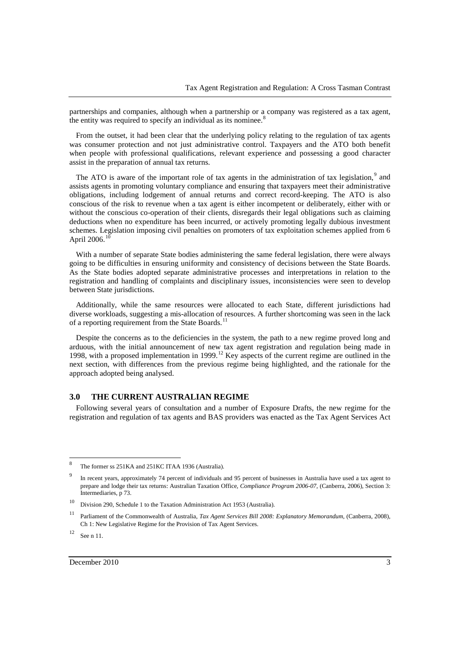partnerships and companies, although when a partnership or a company was registered as a tax agent, the entity was required to specify an individual as its nominee. $\frac{8}{3}$  $\frac{8}{3}$  $\frac{8}{3}$ 

From the outset, it had been clear that the underlying policy relating to the regulation of tax agents was consumer protection and not just administrative control. Taxpayers and the ATO both benefit when people with professional qualifications, relevant experience and possessing a good character assist in the preparation of annual tax returns.

The ATO is aware of the important role of tax agents in the administration of tax legislation, $9$  and assists agents in promoting voluntary compliance and ensuring that taxpayers meet their administrative obligations, including lodgement of annual returns and correct record-keeping. The ATO is also conscious of the risk to revenue when a tax agent is either incompetent or deliberately, either with or without the conscious co-operation of their clients, disregards their legal obligations such as claiming deductions when no expenditure has been incurred, or actively promoting legally dubious investment schemes. Legislation imposing civil penalties on promoters of tax exploitation schemes applied from 6 April 2006.

With a number of separate State bodies administering the same federal legislation, there were always going to be difficulties in ensuring uniformity and consistency of decisions between the State Boards. As the State bodies adopted separate administrative processes and interpretations in relation to the registration and handling of complaints and disciplinary issues, inconsistencies were seen to develop between State jurisdictions.

Additionally, while the same resources were allocated to each State, different jurisdictions had diverse workloads, suggesting a mis-allocation of resources. A further shortcoming was seen in the lack of a reporting requirement from the State Boards.<sup>[11](#page-2-3)</sup>

Despite the concerns as to the deficiencies in the system, the path to a new regime proved long and arduous, with the initial announcement of new tax agent registration and regulation being made in 1998, with a proposed implementation in 1999.<sup>[12](#page-2-4)</sup> Key aspects of the current regime are outlined in the 1998, next section, with differences from the previous regime being highlighted, and the rationale for the approach adopted being analysed.

## **3.0 THE CURRENT AUSTRALIAN REGIME**

Following several years of consultation and a number of Exposure Drafts, the new regime for the registration and regulation of tax agents and BAS providers was enacted as the Tax Agent Services Act

<span id="page-2-0"></span><sup>8</sup> The former ss 251KA and 251KC ITAA 1936 (Australia).

<span id="page-2-1"></span><sup>&</sup>lt;sup>9</sup> In recent years, approximately 74 percent of individuals and 95 percent of businesses in Australia have used a tax agent to prepare and lodge their tax returns: Australian Taxation Office, *Compliance Program 2006-07*, (Canberra, 2006), Section 3: Intermediaries, p 73.

<span id="page-2-2"></span><sup>10</sup> Division 290, Schedule 1 to the Taxation Administration Act 1953 (Australia).

<span id="page-2-3"></span><sup>11</sup> Parliament of the Commonwealth of Australia, *Tax Agent Services Bill 2008: Explanatory Memorandum*, (Canberra, 2008), Ch 1: New Legislative Regime for the Provision of Tax Agent Services.

<span id="page-2-4"></span> $12$  See n 11.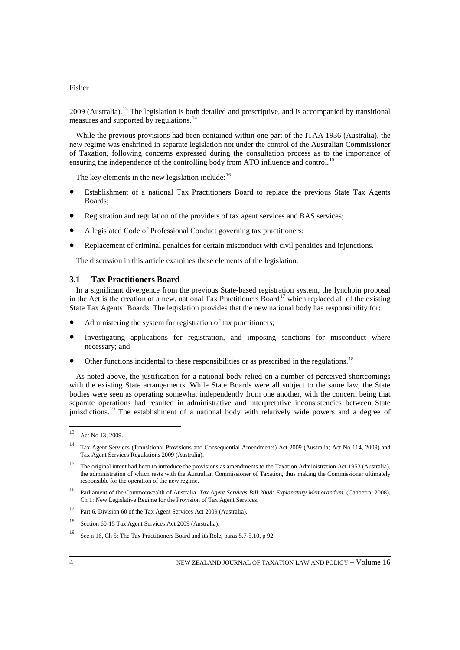2009 (Australia).<sup>[13](#page-3-0)</sup> The legislation is both detailed and prescriptive, and is accompanied by transitional measures and supported by regulations.<sup>[14](#page-3-1)</sup>

While the previous provisions had been contained within one part of the ITAA 1936 (Australia), the new regime was enshrined in separate legislation not under the control of the Australian Commissioner of Taxation, following concerns expressed during the consultation process as to the importance of ensuring the independence of the controlling body from ATO influence and control.<sup>[15](#page-3-2)</sup>

The key elements in the new legislation include: $16$ 

- Establishment of a national Tax Practitioners Board to replace the previous State Tax Agents Boards;
- Registration and regulation of the providers of tax agent services and BAS services;
- A legislated Code of Professional Conduct governing tax practitioners;
- Replacement of criminal penalties for certain misconduct with civil penalties and injunctions.

The discussion in this article examines these elements of the legislation.

## **3.1 Tax Practitioners Board**

In a significant divergence from the previous State-based registration system, the lynchpin proposal in the Act is the creation of a new, national Tax Practitioners Board<sup>[17](#page-3-4)</sup> which replaced all of the existing State Tax Agents' Boards. The legislation provides that the new national body has responsibility for:

- Administering the system for registration of tax practitioners;
- Investigating applications for registration, and imposing sanctions for misconduct where necessary; and
- Other functions incidental to these responsibilities or as prescribed in the regulations.<sup>[18](#page-3-5)</sup>

As noted above, the justification for a national body relied on a number of perceived shortcomings with the existing State arrangements. While State Boards were all subject to the same law, the State bodies were seen as operating somewhat independently from one another, with the concern being that separate operations had resulted in administrative and interpretative inconsistencies between State jurisdictions.<sup>[19](#page-3-6)</sup> The establishment of a national body with relatively wide powers and a degree of

<span id="page-3-0"></span><sup>13</sup> Act No 13, 2009.

<span id="page-3-1"></span><sup>14</sup> Tax Agent Services (Transitional Provisions and Consequential Amendments) Act 2009 (Australia; Act No 114, 2009) and Tax Agent Services Regulations 2009 (Australia).

<span id="page-3-2"></span><sup>&</sup>lt;sup>15</sup> The original intent had been to introduce the provisions as amendments to the Taxation Administration Act 1953 (Australia), the administration of which rests with the Australian Commissioner of Taxation, thus making the Commissioner ultimately responsible for the operation of the new regime.

<span id="page-3-3"></span><sup>16</sup> Parliament of the Commonwealth of Australia, *Tax Agent Services Bill 2008: Explanatory Memorandum*, (Canberra, 2008), Ch 1: New Legislative Regime for the Provision of Tax Agent Services.

<span id="page-3-4"></span><sup>17</sup> Part 6, Division 60 of the Tax Agent Services Act 2009 (Australia).

<span id="page-3-5"></span><sup>18</sup> Section 60-15 Tax Agent Services Act 2009 (Australia).

<span id="page-3-6"></span><sup>19</sup> See n 16, Ch 5: The Tax Practitioners Board and its Role, paras 5.7-5.10, p 92.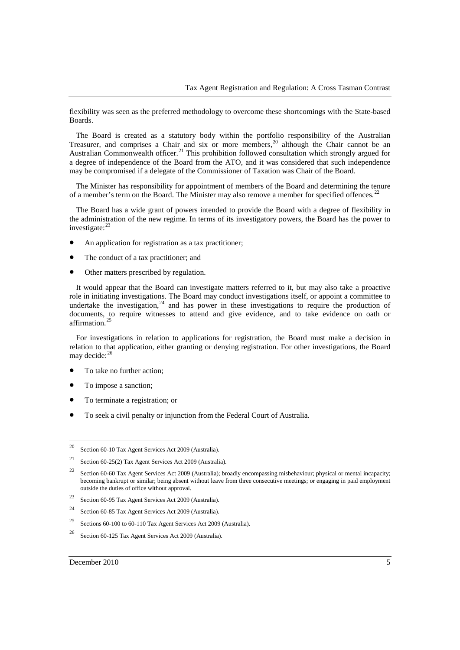flexibility was seen as the preferred methodology to overcome these shortcomings with the State-based Boards.

The Board is created as a statutory body within the portfolio responsibility of the Australian Treasurer, and comprises a Chair and six or more members,<sup>[20](#page-4-0)</sup> although the Chair cannot be an Australian Commonwealth officer.<sup>[21](#page-4-1)</sup> This prohibition followed consultation which strongly argued for a degree of independence of the Board from the ATO, and it was considered that such independence may be compromised if a delegate of the Commissioner of Taxation was Chair of the Board.

The Minister has responsibility for appointment of members of the Board and determining the tenure of a member's term on the Board. The Minister may also remove a member for specified offences.<sup>[22](#page-4-2)</sup>

The Board has a wide grant of powers intended to provide the Board with a degree of flexibility in the administration of the new regime. In terms of its investigatory powers, the Board has the power to investigate: $^{23}$  $^{23}$  $^{23}$ 

- An application for registration as a tax practitioner;
- The conduct of a tax practitioner; and
- Other matters prescribed by regulation.

It would appear that the Board can investigate matters referred to it, but may also take a proactive role in initiating investigations. The Board may conduct investigations itself, or appoint a committee to undertake the investigation,  $24$  and has power in these investigations to require the production of documents, to require witnesses to attend and give evidence, and to take evidence on oath or affirmation.

For investigations in relation to applications for registration, the Board must make a decision in relation to that application, either granting or denying registration. For other investigations, the Board may decide:<sup>[26](#page-4-6)</sup>

- To take no further action;
- To impose a sanction;
- To terminate a registration; or
- To seek a civil penalty or injunction from the Federal Court of Australia.

- <span id="page-4-5"></span><sup>25</sup> Sections 60-100 to 60-110 Tax Agent Services Act 2009 (Australia).
- <span id="page-4-6"></span><sup>26</sup> Section 60-125 Tax Agent Services Act 2009 (Australia).

<span id="page-4-0"></span><sup>20</sup> Section 60-10 Tax Agent Services Act 2009 (Australia).

<span id="page-4-1"></span><sup>21</sup> Section 60-25(2) Tax Agent Services Act 2009 (Australia).

<span id="page-4-2"></span><sup>&</sup>lt;sup>22</sup> Section 60-60 Tax Agent Services Act 2009 (Australia); broadly encompassing misbehaviour; physical or mental incapacity; becoming bankrupt or similar; being absent without leave from three consecutive meetings; or engaging in paid employment outside the duties of office without approval.

<span id="page-4-3"></span><sup>23</sup> Section 60-95 Tax Agent Services Act 2009 (Australia).

<span id="page-4-4"></span><sup>24</sup> Section 60-85 Tax Agent Services Act 2009 (Australia).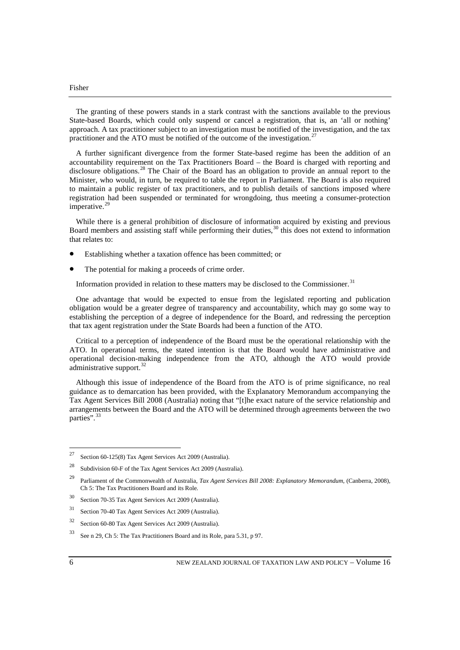The granting of these powers stands in a stark contrast with the sanctions available to the previous State-based Boards, which could only suspend or cancel a registration, that is, an 'all or nothing' approach. A tax practitioner subject to an investigation must be notified of the investigation, and the tax practitioner and the ATO must be notified of the outcome of the investigation.<sup>[27](#page-5-0)</sup>

A further significant divergence from the former State-based regime has been the addition of an accountability requirement on the Tax Practitioners Board – the Board is charged with reporting and disclosure obligations.<sup>[28](#page-5-1)</sup> The Chair of the Board has an obligation to provide an annual report to the Minister, who would, in turn, be required to table the report in Parliament. The Board is also required to maintain a public register of tax practitioners, and to publish details of sanctions imposed where registration had been suspended or terminated for wrongdoing, thus meeting a consumer-protection imperative.<sup>[29](#page-5-2)</sup>

While there is a general prohibition of disclosure of information acquired by existing and previous Board members and assisting staff while performing their duties,<sup>[30](#page-5-3)</sup> this does not extend to information that relates to:

- Establishing whether a taxation offence has been committed; or
- The potential for making a proceeds of crime order.

Information provided in relation to these matters may be disclosed to the Commissioner.<sup>[31](#page-5-4)</sup>

One advantage that would be expected to ensue from the legislated reporting and publication obligation would be a greater degree of transparency and accountability, which may go some way to establishing the perception of a degree of independence for the Board, and redressing the perception that tax agent registration under the State Boards had been a function of the ATO.

Critical to a perception of independence of the Board must be the operational relationship with the ATO. In operational terms, the stated intention is that the Board would have administrative and operational decision-making independence from the ATO, although the ATO would provide administrative support.<sup>[32](#page-5-5)</sup>

Although this issue of independence of the Board from the ATO is of prime significance, no real guidance as to demarcation has been provided, with the Explanatory Memorandum accompanying the Tax Agent Services Bill 2008 (Australia) noting that "[t]he exact nature of the service relationship and arrangements between the Board and the ATO will be determined through agreements between the two parties".<sup>[33](#page-5-6)</sup>

<span id="page-5-0"></span><sup>27</sup> Section 60-125(8) Tax Agent Services Act 2009 (Australia).

<span id="page-5-1"></span><sup>28</sup> Subdivision 60-F of the Tax Agent Services Act 2009 (Australia).

<span id="page-5-2"></span><sup>29</sup> Parliament of the Commonwealth of Australia, *Tax Agent Services Bill 2008: Explanatory Memorandum*, (Canberra, 2008), Ch 5: The Tax Practitioners Board and its Role.

<span id="page-5-3"></span><sup>30</sup> Section 70-35 Tax Agent Services Act 2009 (Australia).

<span id="page-5-4"></span><sup>31</sup> Section 70-40 Tax Agent Services Act 2009 (Australia).

<span id="page-5-5"></span><sup>32</sup> Section 60-80 Tax Agent Services Act 2009 (Australia).

<span id="page-5-6"></span><sup>33</sup> See n 29, Ch 5: The Tax Practitioners Board and its Role, para 5.31, p 97.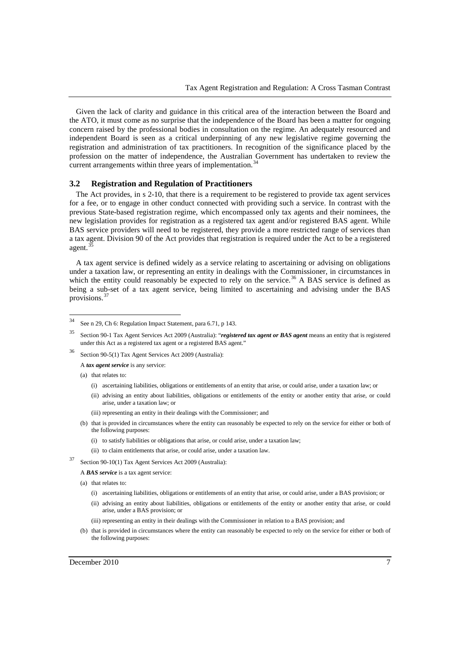Given the lack of clarity and guidance in this critical area of the interaction between the Board and the ATO, it must come as no surprise that the independence of the Board has been a matter for ongoing concern raised by the professional bodies in consultation on the regime. An adequately resourced and independent Board is seen as a critical underpinning of any new legislative regime governing the registration and administration of tax practitioners. In recognition of the significance placed by the profession on the matter of independence, the Australian Government has undertaken to review the current arrangements within three years of implementation.<sup>3</sup>

#### **3.2 Registration and Regulation of Practitioners**

The Act provides, in s 2-10, that there is a requirement to be registered to provide tax agent services for a fee, or to engage in other conduct connected with providing such a service. In contrast with the previous State-based registration regime, which encompassed only tax agents and their nominees, the new legislation provides for registration as a registered tax agent and/or registered BAS agent. While BAS service providers will need to be registered, they provide a more restricted range of services than a tax agent. Division 90 of the Act provides that registration is required under the Act to be a registered agent.

A tax agent service is defined widely as a service relating to ascertaining or advising on obligations under a taxation law, or representing an entity in dealings with the Commissioner, in circumstances in which the entity could reasonably be expected to rely on the service.<sup>[36](#page-6-2)</sup> A BAS service is defined as being a sub-set of a tax agent service, being limited to ascertaining and advising under the BAS provisions.[37](#page-6-3)

(a) that relates to:

- (i) ascertaining liabilities, obligations or entitlements of an entity that arise, or could arise, under a taxation law; or
- (ii) advising an entity about liabilities, obligations or entitlements of the entity or another entity that arise, or could arise, under a taxation law; or
- (iii) representing an entity in their dealings with the Commissioner; and
- (b) that is provided in circumstances where the entity can reasonably be expected to rely on the service for either or both of the following purposes:
	- (i) to satisfy liabilities or obligations that arise, or could arise, under a taxation law;
	- (ii) to claim entitlements that arise, or could arise, under a taxation law.
- <span id="page-6-3"></span><sup>37</sup> Section 90-10(1) Tax Agent Services Act 2009 (Australia):
	- A *BAS service* is a tax agent service:

- (i) ascertaining liabilities, obligations or entitlements of an entity that arise, or could arise, under a BAS provision; or
- (ii) advising an entity about liabilities, obligations or entitlements of the entity or another entity that arise, or could arise, under a BAS provision; or
- (iii) representing an entity in their dealings with the Commissioner in relation to a BAS provision; and
- (b) that is provided in circumstances where the entity can reasonably be expected to rely on the service for either or both of the following purposes:

<span id="page-6-0"></span><sup>34</sup> See n 29, Ch 6: Regulation Impact Statement, para 6.71, p 143.

<span id="page-6-1"></span><sup>35</sup> Section 90-1 Tax Agent Services Act 2009 (Australia): "*registered tax agent or BAS agent* means an entity that is registered under this Act as a registered tax agent or a registered BAS agent."

<span id="page-6-2"></span><sup>36</sup> Section 90-5(1) Tax Agent Services Act 2009 (Australia):

A *tax agent service* is any service:

<sup>(</sup>a) that relates to: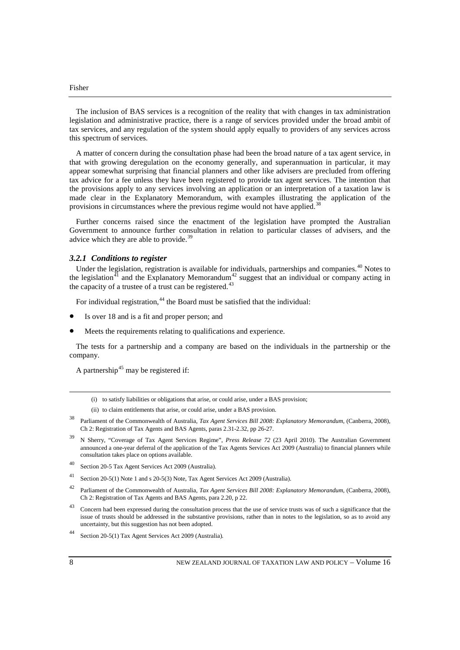The inclusion of BAS services is a recognition of the reality that with changes in tax administration legislation and administrative practice, there is a range of services provided under the broad ambit of tax services, and any regulation of the system should apply equally to providers of any services across this spectrum of services.

A matter of concern during the consultation phase had been the broad nature of a tax agent service, in that with growing deregulation on the economy generally, and superannuation in particular, it may appear somewhat surprising that financial planners and other like advisers are precluded from offering tax advice for a fee unless they have been registered to provide tax agent services. The intention that the provisions apply to any services involving an application or an interpretation of a taxation law is made clear in the Explanatory Memorandum, with examples illustrating the application of the provisions in circumstances where the previous regime would not have applied.<sup>[38](#page-7-0)</sup>

Further concerns raised since the enactment of the legislation have prompted the Australian Government to announce further consultation in relation to particular classes of advisers, and the advice which they are able to provide.<sup>[39](#page-7-1)</sup>

## *3.2.1 Conditions to register*

Under the legislation, registration is available for individuals, partnerships and companies.<sup>[40](#page-7-2)</sup> Notes to the legislation, the Explanatory Memorandum<sup>42</sup> suggest that an individual or company acting in the eigslation<sup>[41](#page-7-3)</sup> and the Explanatory Memorandum<sup>[42](#page-7-4)</sup> suggest that an individual or company acting in the capacity of a trustee of a trust can be registered.<sup>[43](#page-7-5)</sup>

For individual registration,  $44$  the Board must be satisfied that the individual:

- Is over 18 and is a fit and proper person; and
- Meets the requirements relating to qualifications and experience.

The tests for a partnership and a company are based on the individuals in the partnership or the company.

A partnership<sup>[45](#page-7-7)</sup> may be registered if:

- (ii) to claim entitlements that arise, or could arise, under a BAS provision.
- <span id="page-7-0"></span><sup>38</sup> Parliament of the Commonwealth of Australia, *Tax Agent Services Bill 2008: Explanatory Memorandum*, (Canberra, 2008), Ch 2: Registration of Tax Agents and BAS Agents, paras 2.31-2.32, pp 26-27.
- <span id="page-7-1"></span><sup>39</sup> N Sherry, "Coverage of Tax Agent Services Regime", *Press Release 72* (23 April 2010). The Australian Government announced a one-year deferral of the application of the Tax Agents Services Act 2009 (Australia) to financial planners while consultation takes place on options available.
- <span id="page-7-2"></span><sup>40</sup> Section 20-5 Tax Agent Services Act 2009 (Australia).
- <span id="page-7-3"></span><sup>41</sup> Section 20-5(1) Note 1 and s 20-5(3) Note, Tax Agent Services Act 2009 (Australia).
- <span id="page-7-7"></span><span id="page-7-4"></span><sup>42</sup> Parliament of the Commonwealth of Australia, *Tax Agent Services Bill 2008: Explanatory Memorandum*, (Canberra, 2008), Ch 2: Registration of Tax Agents and BAS Agents, para 2.20, p 22.
- <span id="page-7-5"></span><sup>43</sup> Concern had been expressed during the consultation process that the use of service trusts was of such a significance that the issue of trusts should be addressed in the substantive provisions, rather than in notes to the legislation, so as to avoid any uncertainty, but this suggestion has not been adopted.
- <span id="page-7-6"></span>Section 20-5(1) Tax Agent Services Act 2009 (Australia).

 $\overline{a}$ 

<sup>(</sup>i) to satisfy liabilities or obligations that arise, or could arise, under a BAS provision;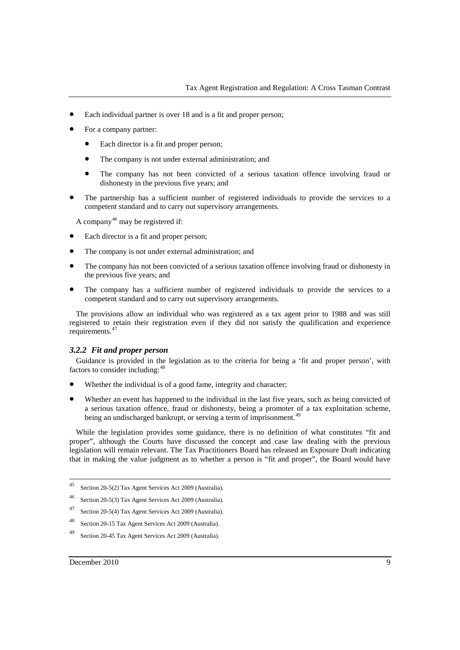- Each individual partner is over 18 and is a fit and proper person;
- For a company partner:
	- Each director is a fit and proper person;
	- The company is not under external administration; and
	- The company has not been convicted of a serious taxation offence involving fraud or dishonesty in the previous five years; and
- The partnership has a sufficient number of registered individuals to provide the services to a competent standard and to carry out supervisory arrangements.

A company<sup>[46](#page-8-0)</sup> may be registered if:

- Each director is a fit and proper person;
- The company is not under external administration; and
- The company has not been convicted of a serious taxation offence involving fraud or dishonesty in the previous five years; and
- The company has a sufficient number of registered individuals to provide the services to a competent standard and to carry out supervisory arrangements.

The provisions allow an individual who was registered as a tax agent prior to 1988 and was still registered to retain their registration even if they did not satisfy the qualification and experience requirements.[47](#page-8-1)

## *3.2.2 Fit and proper person*

Guidance is provided in the legislation as to the criteria for being a 'fit and proper person', with factors to consider including: <sup>[48](#page-8-2)</sup>

- Whether the individual is of a good fame, integrity and character;
- Whether an event has happened to the individual in the last five years, such as being convicted of a serious taxation offence, fraud or dishonesty, being a promoter of a tax exploitation scheme, being an undischarged bankrupt, or serving a term of imprisonment.<sup>[49](#page-8-3)</sup>

While the legislation provides some guidance, there is no definition of what constitutes "fit and proper", although the Courts have discussed the concept and case law dealing with the previous legislation will remain relevant. The Tax Practitioners Board has released an Exposure Draft indicating that in making the value judgment as to whether a person is "fit and proper", the Board would have

- <span id="page-8-1"></span><sup>47</sup> Section 20-5(4) Tax Agent Services Act 2009 (Australia).
- <span id="page-8-2"></span><sup>48</sup> Section 20-15 Tax Agent Services Act 2009 (Australia).
- <span id="page-8-3"></span><sup>49</sup> Section 20-45 Tax Agent Services Act 2009 (Australia).

<sup>45</sup> Section 20-5(2) Tax Agent Services Act 2009 (Australia).

<span id="page-8-0"></span><sup>46</sup> Section 20-5(3) Tax Agent Services Act 2009 (Australia).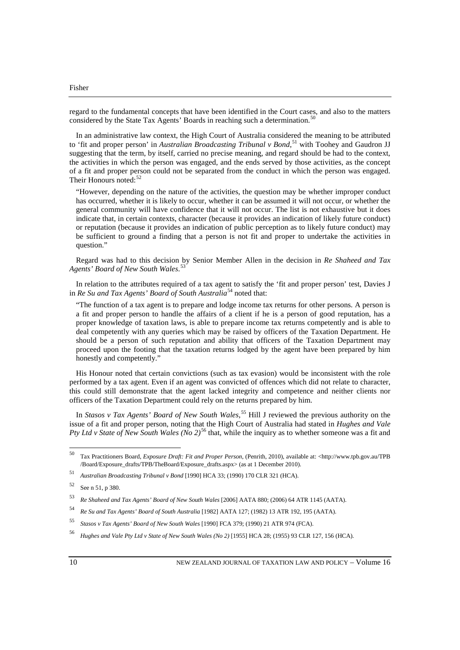regard to the fundamental concepts that have been identified in the Court cases, and also to the matters considered by the State Tax Agents' Boards in reaching such a determination.<sup>[50](#page-9-0)</sup>

In an administrative law context, the High Court of Australia considered the meaning to be attributed to 'fit and proper person' in *Australian Broadcasting Tribunal v Bond*,<sup>[51](#page-9-1)</sup> with Toohey and Gaudron JJ suggesting that the term, by itself, carried no precise meaning, and regard should be had to the context, the activities in which the person was engaged, and the ends served by those activities, as the concept of a fit and proper person could not be separated from the conduct in which the person was engaged. Their Honours noted:<sup>[52](#page-9-2)</sup>

"However, depending on the nature of the activities, the question may be whether improper conduct has occurred, whether it is likely to occur, whether it can be assumed it will not occur, or whether the general community will have confidence that it will not occur. The list is not exhaustive but it does indicate that, in certain contexts, character (because it provides an indication of likely future conduct) or reputation (because it provides an indication of public perception as to likely future conduct) may be sufficient to ground a finding that a person is not fit and proper to undertake the activities in question."

Regard was had to this decision by Senior Member Allen in the decision in *Re Shaheed and Tax Agents' Board of New South Wales*. [53](#page-9-3)

In relation to the attributes required of a tax agent to satisfy the 'fit and proper person' test, Davies J in *Re Su and Tax Agents' Board of South Australia*[54](#page-9-4) noted that:

"The function of a tax agent is to prepare and lodge income tax returns for other persons. A person is a fit and proper person to handle the affairs of a client if he is a person of good reputation, has a proper knowledge of taxation laws, is able to prepare income tax returns competently and is able to deal competently with any queries which may be raised by officers of the Taxation Department. He should be a person of such reputation and ability that officers of the Taxation Department may proceed upon the footing that the taxation returns lodged by the agent have been prepared by him honestly and competently."

His Honour noted that certain convictions (such as tax evasion) would be inconsistent with the role performed by a tax agent. Even if an agent was convicted of offences which did not relate to character, this could still demonstrate that the agent lacked integrity and competence and neither clients nor officers of the Taxation Department could rely on the returns prepared by him.

In *Stasos v Tax Agents' Board of New South Wales*, [55](#page-9-5) Hill J reviewed the previous authority on the issue of a fit and proper person, noting that the High Court of Australia had stated in *Hughes and Vale Pty Ltd v State of New South Wales (No 2)*[56](#page-9-6) that, while the inquiry as to whether someone was a fit and

<span id="page-9-0"></span><sup>50</sup> Tax Practitioners Board, *Exposure Draft: Fit and Proper Person*, (Penrith, 2010), available at: <http://www.tpb.gov.au/TPB /Board/Exposure\_drafts/TPB/TheBoard/Exposure\_drafts.aspx> (as at 1 December 2010).

<span id="page-9-1"></span><sup>51</sup> *Australian Broadcasting Tribunal v Bond* [1990] HCA 33; (1990) 170 CLR 321 (HCA).

<span id="page-9-2"></span><sup>52</sup> See n 51, p 380.

<span id="page-9-3"></span><sup>53</sup> *Re Shaheed and Tax Agents' Board of New South Wales* [2006] AATA 880; (2006) 64 ATR 1145 (AATA).

<span id="page-9-4"></span><sup>54</sup> *Re Su and Tax Agents' Board of South Australia* [1982] AATA 127; (1982) 13 ATR 192, 195 (AATA).

<span id="page-9-5"></span><sup>55</sup> *Stasos v Tax Agents' Board of New South Wales* [1990] FCA 379; (1990) 21 ATR 974 (FCA).

<span id="page-9-6"></span><sup>56</sup> *Hughes and Vale Pty Ltd v State of New South Wales (No 2)* [1955] HCA 28; (1955) 93 CLR 127, 156 (HCA).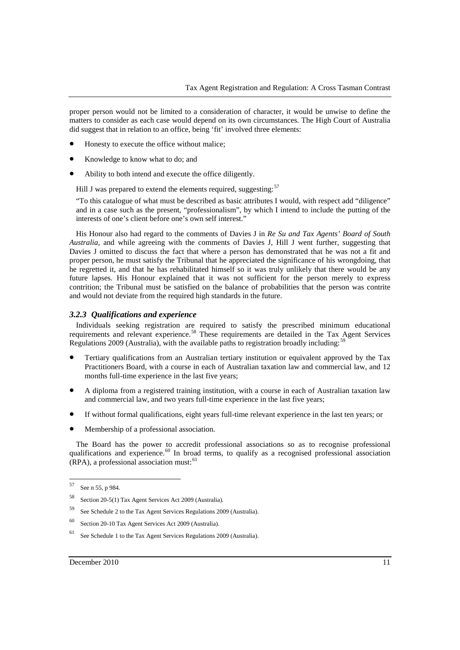proper person would not be limited to a consideration of character, it would be unwise to define the matters to consider as each case would depend on its own circumstances. The High Court of Australia did suggest that in relation to an office, being 'fit' involved three elements:

- Honesty to execute the office without malice;
- Knowledge to know what to do; and
- Ability to both intend and execute the office diligently.

Hill J was prepared to extend the elements required, suggesting:  $57$ 

"To this catalogue of what must be described as basic attributes I would, with respect add "diligence" and in a case such as the present, "professionalism", by which I intend to include the putting of the interests of one's client before one's own self interest."

His Honour also had regard to the comments of Davies J in *Re Su and Tax Agents' Board of South Australia*, and while agreeing with the comments of Davies J, Hill J went further, suggesting that Davies J omitted to discuss the fact that where a person has demonstrated that he was not a fit and proper person, he must satisfy the Tribunal that he appreciated the significance of his wrongdoing, that he regretted it, and that he has rehabilitated himself so it was truly unlikely that there would be any future lapses. His Honour explained that it was not sufficient for the person merely to express contrition; the Tribunal must be satisfied on the balance of probabilities that the person was contrite and would not deviate from the required high standards in the future.

## *3.2.3 Qualifications and experience*

Individuals seeking registration are required to satisfy the prescribed minimum educational requirements and relevant experience.<sup>[58](#page-10-1)</sup> These requirements are detailed in the Tax Agent Services Regulations 2009 (Australia), with the available paths to registration broadly including:

- Tertiary qualifications from an Australian tertiary institution or equivalent approved by the Tax Practitioners Board, with a course in each of Australian taxation law and commercial law, and 12 months full-time experience in the last five years;
- A diploma from a registered training institution, with a course in each of Australian taxation law and commercial law, and two years full-time experience in the last five years;
- If without formal qualifications, eight years full-time relevant experience in the last ten years; or
- Membership of a professional association.

The Board has the power to accredit professional associations so as to recognise professional qualifications and experience.<sup>[60](#page-10-3)</sup> In broad terms, to qualify as a recognised professional association (RPA), a professional association must: [61](#page-10-4)

<span id="page-10-4"></span><sup>61</sup> See Schedule 1 to the Tax Agent Services Regulations 2009 (Australia).

<span id="page-10-0"></span><sup>57</sup> See n 55, p 984.

<span id="page-10-1"></span><sup>58</sup> Section 20-5(1) Tax Agent Services Act 2009 (Australia).

<span id="page-10-2"></span><sup>59</sup> See Schedule 2 to the Tax Agent Services Regulations 2009 (Australia).

<span id="page-10-3"></span><sup>60</sup> Section 20-10 Tax Agent Services Act 2009 (Australia).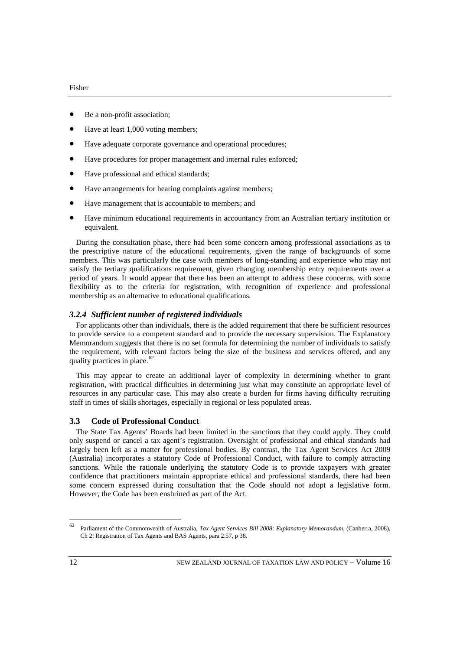- Be a non-profit association;
- Have at least 1,000 voting members;
- Have adequate corporate governance and operational procedures;
- Have procedures for proper management and internal rules enforced;
- Have professional and ethical standards;
- Have arrangements for hearing complaints against members;
- Have management that is accountable to members; and
- Have minimum educational requirements in accountancy from an Australian tertiary institution or equivalent.

During the consultation phase, there had been some concern among professional associations as to the prescriptive nature of the educational requirements, given the range of backgrounds of some members. This was particularly the case with members of long-standing and experience who may not satisfy the tertiary qualifications requirement, given changing membership entry requirements over a period of years. It would appear that there has been an attempt to address these concerns, with some flexibility as to the criteria for registration, with recognition of experience and professional membership as an alternative to educational qualifications.

## *3.2.4 Sufficient number of registered individuals*

For applicants other than individuals, there is the added requirement that there be sufficient resources to provide service to a competent standard and to provide the necessary supervision. The Explanatory Memorandum suggests that there is no set formula for determining the number of individuals to satisfy the requirement, with relevant factors being the size of the business and services offered, and any quality practices in place. $62$ 

This may appear to create an additional layer of complexity in determining whether to grant registration, with practical difficulties in determining just what may constitute an appropriate level of resources in any particular case. This may also create a burden for firms having difficulty recruiting staff in times of skills shortages, especially in regional or less populated areas.

## **3.3 Code of Professional Conduct**

The State Tax Agents' Boards had been limited in the sanctions that they could apply. They could only suspend or cancel a tax agent's registration. Oversight of professional and ethical standards had largely been left as a matter for professional bodies. By contrast, the Tax Agent Services Act 2009 (Australia) incorporates a statutory Code of Professional Conduct, with failure to comply attracting sanctions. While the rationale underlying the statutory Code is to provide taxpayers with greater confidence that practitioners maintain appropriate ethical and professional standards, there had been some concern expressed during consultation that the Code should not adopt a legislative form. However, the Code has been enshrined as part of the Act.

<span id="page-11-0"></span><sup>62</sup> Parliament of the Commonwealth of Australia, *Tax Agent Services Bill 2008: Explanatory Memorandum*, (Canberra, 2008), Ch 2: Registration of Tax Agents and BAS Agents, para 2.57, p 38.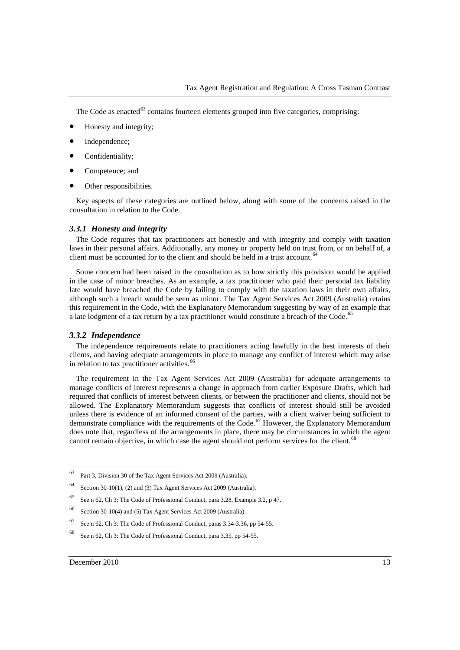The Code as enacted<sup>[63](#page-12-0)</sup> contains fourteen elements grouped into five categories, comprising:

- Honesty and integrity;
- Independence;
- Confidentiality:
- Competence; and
- Other responsibilities.

Key aspects of these categories are outlined below, along with some of the concerns raised in the consultation in relation to the Code.

#### *3.3.1 Honesty and integrity*

The Code requires that tax practitioners act honestly and with integrity and comply with taxation laws in their personal affairs. Additionally, any money or property held on trust from, or on behalf of, a client must be accounted for to the client and should be held in a trust account.<sup>[64](#page-12-1)</sup>

Some concern had been raised in the consultation as to how strictly this provision would be applied in the case of minor breaches. As an example, a tax practitioner who paid their personal tax liability late would have breached the Code by failing to comply with the taxation laws in their own affairs, although such a breach would be seen as minor. The Tax Agent Services Act 2009 (Australia) retains this requirement in the Code, with the Explanatory Memorandum suggesting by way of an example that a late lodgment of a tax return by a tax practitioner would constitute a breach of the Code.<sup>6</sup>

## *3.3.2 Independence*

The independence requirements relate to practitioners acting lawfully in the best interests of their clients, and having adequate arrangements in place to manage any conflict of interest which may arise in relation to tax practitioner activities.<sup>[66](#page-12-3)</sup>

The requirement in the Tax Agent Services Act 2009 (Australia) for adequate arrangements to manage conflicts of interest represents a change in approach from earlier Exposure Drafts, which had required that conflicts of interest between clients, or between the practitioner and clients, should not be allowed. The Explanatory Memorandum suggests that conflicts of interest should still be avoided unless there is evidence of an informed consent of the parties, with a client waiver being sufficient to demonstrate compliance with the requirements of the Code.<sup>[67](#page-12-4)</sup> However, the Explanatory Memorandum does note that, regardless of the arrangements in place, there may be circumstances in which the agent cannot remain objective, in which case the agent should not perform services for the client.<sup>[68](#page-12-5)</sup>

<span id="page-12-0"></span><sup>63</sup> Part 3, Division 30 of the Tax Agent Services Act 2009 (Australia).

<span id="page-12-1"></span><sup>64</sup> Section 30-10(1), (2) and (3) Tax Agent Services Act 2009 (Australia).

<span id="page-12-2"></span><sup>65</sup> See n 62, Ch 3: The Code of Professional Conduct, para 3.28, Example 3.2, p 47.

<span id="page-12-3"></span><sup>66</sup> Section 30-10(4) and (5) Tax Agent Services Act 2009 (Australia).

<span id="page-12-4"></span> $67$  See n 62, Ch 3: The Code of Professional Conduct, paras 3.34-3.36, pp 54-55.

<span id="page-12-5"></span><sup>68</sup> See n 62, Ch 3: The Code of Professional Conduct, para 3.35, pp 54-55.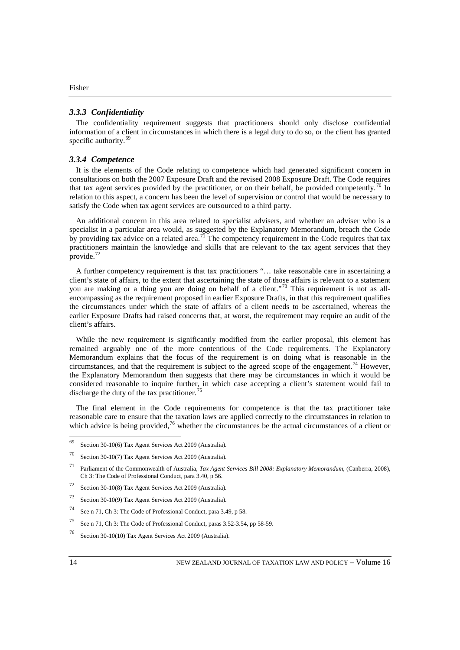## *3.3.3 Confidentiality*

The confidentiality requirement suggests that practitioners should only disclose confidential information of a client in circumstances in which there is a legal duty to do so, or the client has granted specific authority.<sup>[69](#page-13-0)</sup>

## *3.3.4 Competence*

It is the elements of the Code relating to competence which had generated significant concern in consultations on both the 2007 Exposure Draft and the revised 2008 Exposure Draft. The Code requires that tax agent services provided by the practitioner, or on their behalf, be provided competently.<sup>[70](#page-13-1)</sup> In relation to this aspect, a concern has been the level of supervision or control that would be necessary to satisfy the Code when tax agent services are outsourced to a third party.

An additional concern in this area related to specialist advisers, and whether an adviser who is a specialist in a particular area would, as suggested by the Explanatory Memorandum, breach the Code by providing tax advice on a related area.<sup>[71](#page-13-2)</sup> The competency requirement in the Code requires that tax practitioners maintain the knowledge and skills that are relevant to the tax agent services that they provide.<sup>[72](#page-13-3)</sup>

A further competency requirement is that tax practitioners "… take reasonable care in ascertaining a client's state of affairs, to the extent that ascertaining the state of those affairs is relevant to a statement you are making or a thing you are doing on behalf of a client."<sup>[73](#page-13-4)</sup> This requirement is not as allencompassing as the requirement proposed in earlier Exposure Drafts, in that this requirement qualifies the circumstances under which the state of affairs of a client needs to be ascertained, whereas the earlier Exposure Drafts had raised concerns that, at worst, the requirement may require an audit of the client's affairs.

While the new requirement is significantly modified from the earlier proposal, this element has remained arguably one of the more contentious of the Code requirements. The Explanatory Memorandum explains that the focus of the requirement is on doing what is reasonable in the circumstances, and that the requirement is subject to the agreed scope of the engagement.<sup>[74](#page-13-5)</sup> However, the Explanatory Memorandum then suggests that there may be circumstances in which it would be considered reasonable to inquire further, in which case accepting a client's statement would fail to discharge the duty of the tax practitioner.<sup>[75](#page-13-6)</sup>

The final element in the Code requirements for competence is that the tax practitioner take reasonable care to ensure that the taxation laws are applied correctly to the circumstances in relation to which advice is being provided,<sup>[76](#page-13-7)</sup> whether the circumstances be the actual circumstances of a client or

<span id="page-13-0"></span><sup>69</sup> Section 30-10(6) Tax Agent Services Act 2009 (Australia).

<span id="page-13-1"></span><sup>70</sup> Section 30-10(7) Tax Agent Services Act 2009 (Australia).

<span id="page-13-2"></span><sup>71</sup> Parliament of the Commonwealth of Australia, *Tax Agent Services Bill 2008: Explanatory Memorandum*, (Canberra, 2008), Ch 3: The Code of Professional Conduct, para 3.40, p 56.

<span id="page-13-3"></span><sup>72</sup> Section 30-10(8) Tax Agent Services Act 2009 (Australia).

<span id="page-13-4"></span><sup>73</sup> Section 30-10(9) Tax Agent Services Act 2009 (Australia).

<span id="page-13-5"></span><sup>74</sup> See n 71, Ch 3: The Code of Professional Conduct, para 3.49, p 58.

<span id="page-13-6"></span><sup>75</sup> See n 71, Ch 3: The Code of Professional Conduct, paras 3.52-3.54, pp 58-59.

<span id="page-13-7"></span><sup>76</sup> Section 30-10(10) Tax Agent Services Act 2009 (Australia).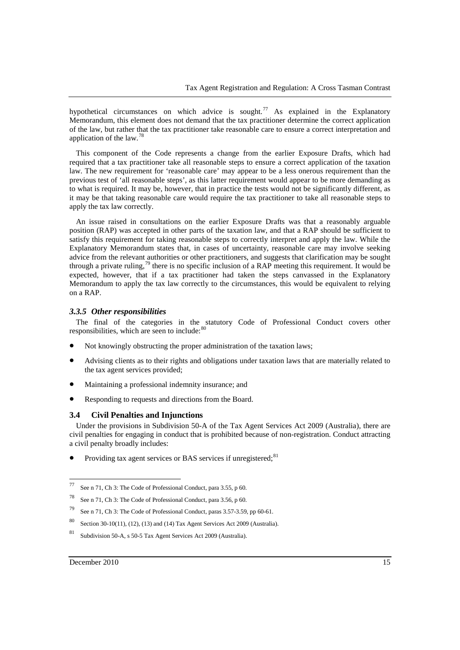hypothetical circumstances on which advice is sought.<sup>[77](#page-14-0)</sup> As explained in the Explanatory Memorandum, this element does not demand that the tax practitioner determine the correct application of the law, but rather that the tax practitioner take reasonable care to ensure a correct interpretation and application of the law.[78](#page-14-1)

This component of the Code represents a change from the earlier Exposure Drafts, which had required that a tax practitioner take all reasonable steps to ensure a correct application of the taxation law. The new requirement for 'reasonable care' may appear to be a less onerous requirement than the previous test of 'all reasonable steps', as this latter requirement would appear to be more demanding as to what is required. It may be, however, that in practice the tests would not be significantly different, as it may be that taking reasonable care would require the tax practitioner to take all reasonable steps to apply the tax law correctly.

An issue raised in consultations on the earlier Exposure Drafts was that a reasonably arguable position (RAP) was accepted in other parts of the taxation law, and that a RAP should be sufficient to satisfy this requirement for taking reasonable steps to correctly interpret and apply the law. While the Explanatory Memorandum states that, in cases of uncertainty, reasonable care may involve seeking advice from the relevant authorities or other practitioners, and suggests that clarification may be sought through a private ruling,<sup>[79](#page-14-2)</sup> there is no specific inclusion of a RAP meeting this requirement. It would be expected, however, that if a tax practitioner had taken the steps canvassed in the Explanatory Memorandum to apply the tax law correctly to the circumstances, this would be equivalent to relying on a RAP.

## *3.3.5 Other responsibilities*

The final of the categories in the statutory Code of Professional Conduct covers other responsibilities, which are seen to include: $80$ 

- Not knowingly obstructing the proper administration of the taxation laws;
- Advising clients as to their rights and obligations under taxation laws that are materially related to the tax agent services provided;
- Maintaining a professional indemnity insurance; and
- Responding to requests and directions from the Board.

# **3.4 Civil Penalties and Injunctions**

Under the provisions in Subdivision 50-A of the Tax Agent Services Act 2009 (Australia), there are civil penalties for engaging in conduct that is prohibited because of non-registration. Conduct attracting a civil penalty broadly includes:

• Providing tax agent services or BAS services if unregistered;  $81$ 

<span id="page-14-0"></span><sup>77</sup> See n 71, Ch 3: The Code of Professional Conduct, para 3.55, p 60.

<span id="page-14-1"></span><sup>78</sup> See n 71, Ch 3: The Code of Professional Conduct, para 3.56, p 60.

<span id="page-14-2"></span><sup>79</sup> See n 71, Ch 3: The Code of Professional Conduct, paras 3.57-3.59, pp 60-61.

<span id="page-14-3"></span><sup>80</sup> Section 30-10(11), (12), (13) and (14) Tax Agent Services Act 2009 (Australia).

<span id="page-14-4"></span><sup>81</sup> Subdivision 50-A, s 50-5 Tax Agent Services Act 2009 (Australia).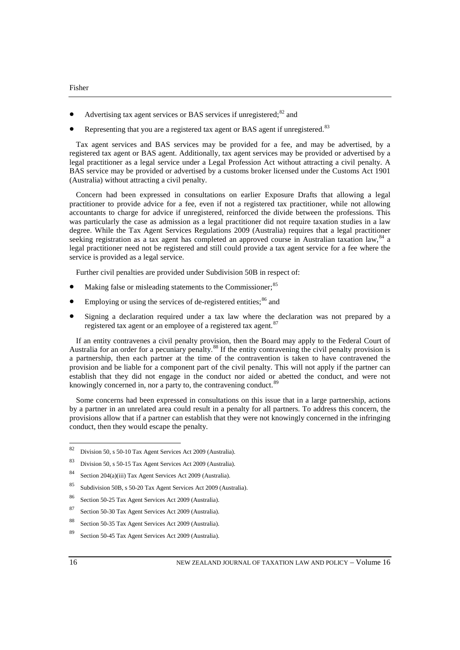- Advertising tax agent services or BAS services if unregistered:<sup>[82](#page-15-0)</sup> and
- Representing that you are a registered tax agent or BAS agent if unregistered.<sup>[83](#page-15-1)</sup>

Tax agent services and BAS services may be provided for a fee, and may be advertised, by a registered tax agent or BAS agent. Additionally, tax agent services may be provided or advertised by a legal practitioner as a legal service under a Legal Profession Act without attracting a civil penalty. A BAS service may be provided or advertised by a customs broker licensed under the Customs Act 1901 (Australia) without attracting a civil penalty.

Concern had been expressed in consultations on earlier Exposure Drafts that allowing a legal practitioner to provide advice for a fee, even if not a registered tax practitioner, while not allowing accountants to charge for advice if unregistered, reinforced the divide between the professions. This was particularly the case as admission as a legal practitioner did not require taxation studies in a law degree. While the Tax Agent Services Regulations 2009 (Australia) requires that a legal practitioner seeking registration as a tax agent has completed an approved course in Australian taxation law, <sup>[84](#page-15-2)</sup> a legal practitioner need not be registered and still could provide a tax agent service for a fee where the service is provided as a legal service.

Further civil penalties are provided under Subdivision 50B in respect of:

- Making false or misleading statements to the Commissioner;<sup>[85](#page-15-3)</sup>
- Employing or using the services of de-registered entities;  $86$  and
- Signing a declaration required under a tax law where the declaration was not prepared by a registered tax agent or an employee of a registered tax agent.<sup>8</sup>

If an entity contravenes a civil penalty provision, then the Board may apply to the Federal Court of Australia for an order for a pecuniary penalty.<sup>[88](#page-15-6)</sup> If the entity contravening the civil penalty provision is a partnership, then each partner at the time of the contravention is taken to have contravened the provision and be liable for a component part of the civil penalty. This will not apply if the partner can establish that they did not engage in the conduct nor aided or abetted the conduct, and were not knowingly concerned in, nor a party to, the contravening conduct.<sup>[89](#page-15-7)</sup>

Some concerns had been expressed in consultations on this issue that in a large partnership, actions by a partner in an unrelated area could result in a penalty for all partners. To address this concern, the provisions allow that if a partner can establish that they were not knowingly concerned in the infringing conduct, then they would escape the penalty.

<span id="page-15-6"></span><sup>88</sup> Section 50-35 Tax Agent Services Act 2009 (Australia).

<span id="page-15-0"></span><sup>82</sup> Division 50, s 50-10 Tax Agent Services Act 2009 (Australia).

<span id="page-15-1"></span><sup>83</sup> Division 50, s 50-15 Tax Agent Services Act 2009 (Australia).

<span id="page-15-2"></span><sup>84</sup> Section 204(a)(iii) Tax Agent Services Act 2009 (Australia).

<span id="page-15-3"></span><sup>85</sup> Subdivision 50B, s 50-20 Tax Agent Services Act 2009 (Australia).

<span id="page-15-4"></span><sup>86</sup> Section 50-25 Tax Agent Services Act 2009 (Australia).

<span id="page-15-5"></span><sup>87</sup> Section 50-30 Tax Agent Services Act 2009 (Australia).

<span id="page-15-7"></span><sup>89</sup> Section 50-45 Tax Agent Services Act 2009 (Australia).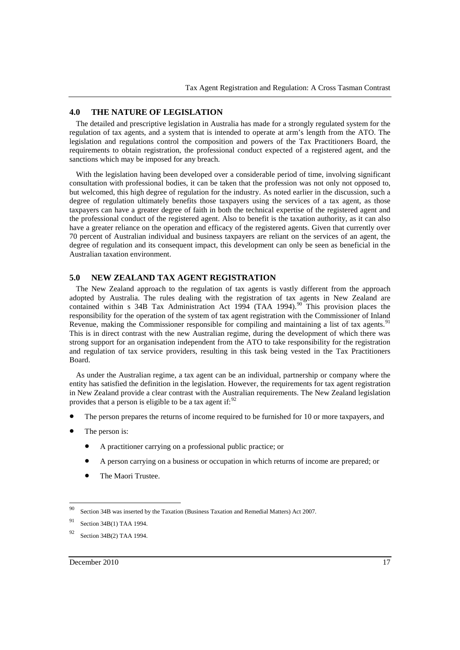## **4.0 THE NATURE OF LEGISLATION**

The detailed and prescriptive legislation in Australia has made for a strongly regulated system for the regulation of tax agents, and a system that is intended to operate at arm's length from the ATO. The legislation and regulations control the composition and powers of the Tax Practitioners Board, the requirements to obtain registration, the professional conduct expected of a registered agent, and the sanctions which may be imposed for any breach.

With the legislation having been developed over a considerable period of time, involving significant consultation with professional bodies, it can be taken that the profession was not only not opposed to, but welcomed, this high degree of regulation for the industry. As noted earlier in the discussion, such a degree of regulation ultimately benefits those taxpayers using the services of a tax agent, as those taxpayers can have a greater degree of faith in both the technical expertise of the registered agent and the professional conduct of the registered agent. Also to benefit is the taxation authority, as it can also have a greater reliance on the operation and efficacy of the registered agents. Given that currently over 70 percent of Australian individual and business taxpayers are reliant on the services of an agent, the degree of regulation and its consequent impact, this development can only be seen as beneficial in the Australian taxation environment.

# **5.0 NEW ZEALAND TAX AGENT REGISTRATION**

The New Zealand approach to the regulation of tax agents is vastly different from the approach adopted by Australia. The rules dealing with the registration of tax agents in New Zealand are contained within s 34B Tax Administration Act 1994 (TAA 1994).<sup>[90](#page-16-0)</sup> This provision places the responsibility for the operation of the system of tax agent registration with the Commissioner of Inland Revenue, making the Commissioner responsible for compiling and maintaining a list of tax agents.<sup>[91](#page-16-1)</sup> This is in direct contrast with the new Australian regime, during the development of which there was strong support for an organisation independent from the ATO to take responsibility for the registration and regulation of tax service providers, resulting in this task being vested in the Tax Practitioners Board.

As under the Australian regime, a tax agent can be an individual, partnership or company where the entity has satisfied the definition in the legislation. However, the requirements for tax agent registration in New Zealand provide a clear contrast with the Australian requirements. The New Zealand legislation provides that a person is eligible to be a tax agent if: $92$ 

- The person prepares the returns of income required to be furnished for 10 or more taxpayers, and
- The person is:
	- A practitioner carrying on a professional public practice; or
	- A person carrying on a business or occupation in which returns of income are prepared; or
	- The Maori Trustee.

<span id="page-16-0"></span><sup>90</sup> Section 34B was inserted by the Taxation (Business Taxation and Remedial Matters) Act 2007.

<span id="page-16-1"></span><sup>91</sup> Section 34B(1) TAA 1994.

<span id="page-16-2"></span><sup>92</sup> Section 34B(2) TAA 1994.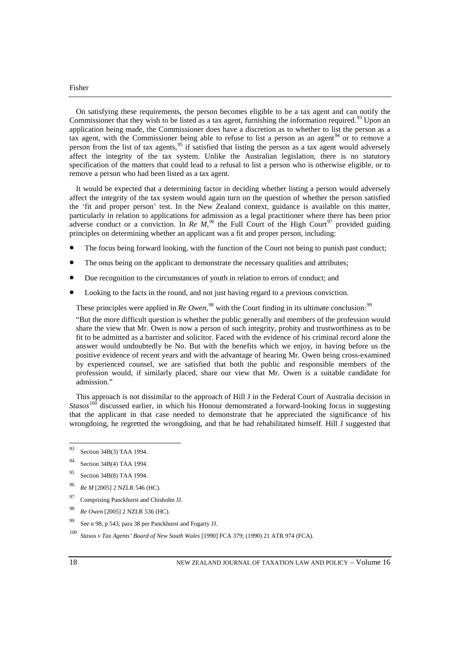On satisfying these requirements, the person becomes eligible to be a tax agent and can notify the Commissioner that they wish to be listed as a tax agent, furnishing the information required.<sup>[93](#page-17-0)</sup> Upon an application being made, the Commissioner does have a discretion as to whether to list the person as a tax agent, with the Commissioner being able to refuse to list a person as an agent  $94$  or to remove a person from the list of tax agents,[95](#page-17-2) if satisfied that listing the person as a tax agent would adversely affect the integrity of the tax system. Unlike the Australian legislation, there is no statutory specification of the matters that could lead to a refusal to list a person who is otherwise eligible, or to remove a person who had been listed as a tax agent.

It would be expected that a determining factor in deciding whether listing a person would adversely affect the integrity of the tax system would again turn on the question of whether the person satisfied the 'fit and proper person' test. In the New Zealand context, guidance is available on this matter, particularly in relation to applications for admission as a legal practitioner where there has been prior adverse conduct or a conviction. In *Re M*<sup>[96](#page-17-3)</sup>, the Full Court of the High Court<sup>[97](#page-17-4)</sup> provided guiding principles on determining whether an applicant was a fit and proper person, including:

- The focus being forward looking, with the function of the Court not being to punish past conduct;
- The onus being on the applicant to demonstrate the necessary qualities and attributes;
- Due recognition to the circumstances of youth in relation to errors of conduct; and
- Looking to the facts in the round, and not just having regard to a previous conviction.

These principles were applied in *Re Owen*,<sup>[98](#page-17-5)</sup> with the Court finding in its ultimate conclusion:<sup>[99](#page-17-6)</sup>

"But the more difficult question is whether the public generally and members of the profession would share the view that Mr. Owen is now a person of such integrity, probity and trustworthiness as to be fit to be admitted as a barrister and solicitor. Faced with the evidence of his criminal record alone the answer would undoubtedly be No. But with the benefits which we enjoy, in having before us the positive evidence of recent years and with the advantage of hearing Mr. Owen being cross-examined by experienced counsel, we are satisfied that both the public and responsible members of the profession would, if similarly placed, share our view that Mr. Owen is a suitable candidate for admission."

This approach is not dissimilar to the approach of Hill J in the Federal Court of Australia decision in *Stasos*[100](#page-17-7) discussed earlier, in which his Honour demonstrated a forward-looking focus in suggesting that the applicant in that case needed to demonstrate that he appreciated the significance of his wrongdoing, he regretted the wrongdoing, and that he had rehabilitated himself. Hill J suggested that

- <span id="page-17-2"></span><sup>95</sup> Section 34B(8) TAA 1994.
- <span id="page-17-3"></span><sup>96</sup> *Re M* [2005] 2 NZLR 546 (HC).
- <span id="page-17-4"></span><sup>97</sup> Comprising Panckhurst and Chisholm JJ.
- <span id="page-17-5"></span><sup>98</sup> *Re Owen* [2005] 2 NZLR 536 (HC).
- <span id="page-17-6"></span><sup>99</sup> See n 98, p 543, para 38 per Panckhurst and Fogarty JJ.
- <span id="page-17-7"></span><sup>100</sup> *Stasos v Tax Agents' Board of New South Wales* [1990] FCA 379; (1990) 21 ATR 974 (FCA).

<span id="page-17-0"></span><sup>93</sup> Section 34B(3) TAA 1994.

<span id="page-17-1"></span><sup>94</sup> Section 34B(4) TAA 1994.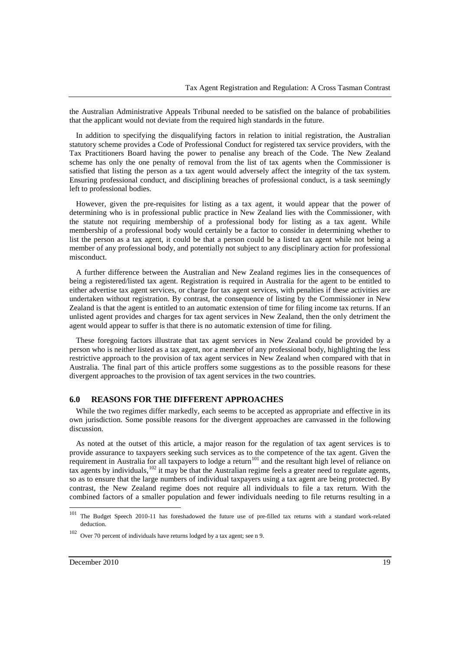the Australian Administrative Appeals Tribunal needed to be satisfied on the balance of probabilities that the applicant would not deviate from the required high standards in the future.

In addition to specifying the disqualifying factors in relation to initial registration, the Australian statutory scheme provides a Code of Professional Conduct for registered tax service providers, with the Tax Practitioners Board having the power to penalise any breach of the Code. The New Zealand scheme has only the one penalty of removal from the list of tax agents when the Commissioner is satisfied that listing the person as a tax agent would adversely affect the integrity of the tax system. Ensuring professional conduct, and disciplining breaches of professional conduct, is a task seemingly left to professional bodies.

However, given the pre-requisites for listing as a tax agent, it would appear that the power of determining who is in professional public practice in New Zealand lies with the Commissioner, with the statute not requiring membership of a professional body for listing as a tax agent. While membership of a professional body would certainly be a factor to consider in determining whether to list the person as a tax agent, it could be that a person could be a listed tax agent while not being a member of any professional body, and potentially not subject to any disciplinary action for professional misconduct.

A further difference between the Australian and New Zealand regimes lies in the consequences of being a registered/listed tax agent. Registration is required in Australia for the agent to be entitled to either advertise tax agent services, or charge for tax agent services, with penalties if these activities are undertaken without registration. By contrast, the consequence of listing by the Commissioner in New Zealand is that the agent is entitled to an automatic extension of time for filing income tax returns. If an unlisted agent provides and charges for tax agent services in New Zealand, then the only detriment the agent would appear to suffer is that there is no automatic extension of time for filing.

These foregoing factors illustrate that tax agent services in New Zealand could be provided by a person who is neither listed as a tax agent, nor a member of any professional body, highlighting the less restrictive approach to the provision of tax agent services in New Zealand when compared with that in Australia. The final part of this article proffers some suggestions as to the possible reasons for these divergent approaches to the provision of tax agent services in the two countries.

## **6.0 REASONS FOR THE DIFFERENT APPROACHES**

While the two regimes differ markedly, each seems to be accepted as appropriate and effective in its own jurisdiction. Some possible reasons for the divergent approaches are canvassed in the following discussion.

As noted at the outset of this article, a major reason for the regulation of tax agent services is to provide assurance to taxpayers seeking such services as to the competence of the tax agent. Given the requirement in Australia for all taxpayers to lodge a return<sup>[101](#page-18-0)</sup> and the resultant high level of reliance on tax agents by individuals,[102](#page-18-1) it may be that the Australian regime feels a greater need to regulate agents, so as to ensure that the large numbers of individual taxpayers using a tax agent are being protected. By contrast, the New Zealand regime does not require all individuals to file a tax return. With the combined factors of a smaller population and fewer individuals needing to file returns resulting in a

<span id="page-18-0"></span><sup>&</sup>lt;sup>101</sup> The Budget Speech 2010-11 has foreshadowed the future use of pre-filled tax returns with a standard work-related deduction.

<span id="page-18-1"></span><sup>102</sup> Over 70 percent of individuals have returns lodged by a tax agent; see n 9.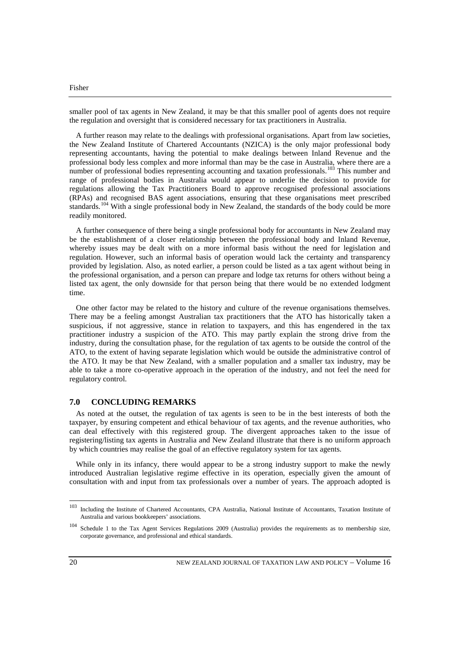smaller pool of tax agents in New Zealand, it may be that this smaller pool of agents does not require the regulation and oversight that is considered necessary for tax practitioners in Australia.

A further reason may relate to the dealings with professional organisations. Apart from law societies, the New Zealand Institute of Chartered Accountants (NZICA) is the only major professional body representing accountants, having the potential to make dealings between Inland Revenue and the professional body less complex and more informal than may be the case in Australia, where there are a number of professional bodies representing accounting and taxation professionals.<sup>[103](#page-19-0)</sup> This number and range of professional bodies in Australia would appear to underlie the decision to provide for regulations allowing the Tax Practitioners Board to approve recognised professional associations (RPAs) and recognised BAS agent associations, ensuring that these organisations meet prescribed standards.<sup>[104](#page-19-1)</sup> With a single professional body in New Zealand, the standards of the body could be more readily monitored.

A further consequence of there being a single professional body for accountants in New Zealand may be the establishment of a closer relationship between the professional body and Inland Revenue, whereby issues may be dealt with on a more informal basis without the need for legislation and regulation. However, such an informal basis of operation would lack the certainty and transparency provided by legislation. Also, as noted earlier, a person could be listed as a tax agent without being in the professional organisation, and a person can prepare and lodge tax returns for others without being a listed tax agent, the only downside for that person being that there would be no extended lodgment time.

One other factor may be related to the history and culture of the revenue organisations themselves. There may be a feeling amongst Australian tax practitioners that the ATO has historically taken a suspicious, if not aggressive, stance in relation to taxpayers, and this has engendered in the tax practitioner industry a suspicion of the ATO. This may partly explain the strong drive from the industry, during the consultation phase, for the regulation of tax agents to be outside the control of the ATO, to the extent of having separate legislation which would be outside the administrative control of the ATO. It may be that New Zealand, with a smaller population and a smaller tax industry, may be able to take a more co-operative approach in the operation of the industry, and not feel the need for regulatory control.

# **7.0 CONCLUDING REMARKS**

As noted at the outset, the regulation of tax agents is seen to be in the best interests of both the taxpayer, by ensuring competent and ethical behaviour of tax agents, and the revenue authorities, who can deal effectively with this registered group. The divergent approaches taken to the issue of registering/listing tax agents in Australia and New Zealand illustrate that there is no uniform approach by which countries may realise the goal of an effective regulatory system for tax agents.

While only in its infancy, there would appear to be a strong industry support to make the newly introduced Australian legislative regime effective in its operation, especially given the amount of consultation with and input from tax professionals over a number of years. The approach adopted is

<span id="page-19-0"></span><sup>103</sup> Including the Institute of Chartered Accountants, CPA Australia, National Institute of Accountants, Taxation Institute of Australia and various bookkeepers' associations.

<span id="page-19-1"></span><sup>104</sup> Schedule 1 to the Tax Agent Services Regulations 2009 (Australia) provides the requirements as to membership size, corporate governance, and professional and ethical standards.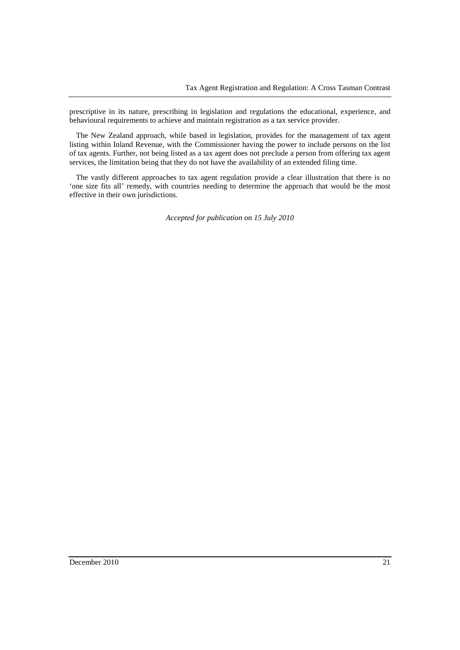prescriptive in its nature, prescribing in legislation and regulations the educational, experience, and behavioural requirements to achieve and maintain registration as a tax service provider.

The New Zealand approach, while based in legislation, provides for the management of tax agent listing within Inland Revenue, with the Commissioner having the power to include persons on the list of tax agents. Further, not being listed as a tax agent does not preclude a person from offering tax agent services, the limitation being that they do not have the availability of an extended filing time.

The vastly different approaches to tax agent regulation provide a clear illustration that there is no 'one size fits all' remedy, with countries needing to determine the approach that would be the most effective in their own jurisdictions.

*Accepted for publication on 15 July 2010*